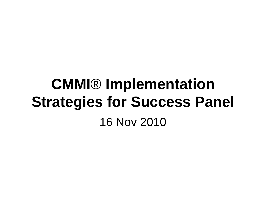# **CMMI**® **Implementation Strategies for Success Panel** 16 Nov 2010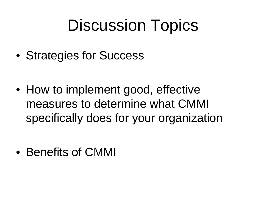# Discussion Topics

• Strategies for Success

• How to implement good, effective measures to determine what CMMI specifically does for your organization

• Benefits of CMMI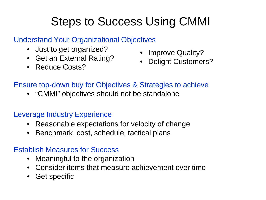# Steps to Success Using CMMI

#### Understand Your Organizational Objectives

- Just to get organized?
- Get an External Rating?
- Reduce Costs?
- Improve Quality?
- Delight Customers?

### Ensure top-down buy for Objectives & Strategies to achieve

• "CMMI" objectives should not be standalone

#### Leverage Industry Experience

- Reasonable expectations for velocity of change
- Benchmark cost, schedule, tactical plans

### Establish Measures for Success

- Meaningful to the organization
- Consider items that measure achievement over time
- Get specific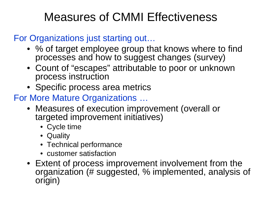## Measures of CMMI Effectiveness

### For Organizations just starting out…

- % of target employee group that knows where to find processes and how to suggest changes (survey)
- Count of "escapes" attributable to poor or unknown process instruction
- Specific process area metrics
- For More Mature Organizations …
	- Measures of execution improvement (overall or targeted improvement initiatives)
		- Cycle time
		- Quality
		- Technical performance
		- customer satisfaction
	- Extent of process improvement involvement from the organization (# suggested, % implemented, analysis of origin)